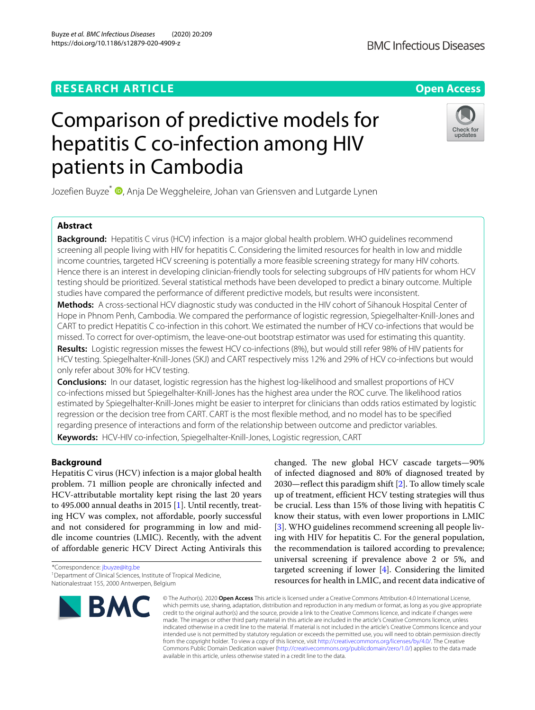## **RESEARCH ARTICLE Open Access**

# Comparison of predictive models for hepatitis C co-infection among HIV patients in Cambodia

Jozefien Buyze<sup>\*</sup> <sup>(D</sup>[,](http://orcid.org/0000-0001-6780-380X) Anja De Weggheleire, Johan van Griensven and Lutgarde Lynen

## **Abstract**

**Background:** Hepatitis C virus (HCV) infection is a major global health problem. WHO guidelines recommend screening all people living with HIV for hepatitis C. Considering the limited resources for health in low and middle income countries, targeted HCV screening is potentially a more feasible screening strategy for many HIV cohorts. Hence there is an interest in developing clinician-friendly tools for selecting subgroups of HIV patients for whom HCV testing should be prioritized. Several statistical methods have been developed to predict a binary outcome. Multiple studies have compared the performance of different predictive models, but results were inconsistent.

**Methods:** A cross-sectional HCV diagnostic study was conducted in the HIV cohort of Sihanouk Hospital Center of Hope in Phnom Penh, Cambodia. We compared the performance of logistic regression, Spiegelhalter-Knill-Jones and CART to predict Hepatitis C co-infection in this cohort. We estimated the number of HCV co-infections that would be missed. To correct for over-optimism, the leave-one-out bootstrap estimator was used for estimating this quantity.

**Results:** Logistic regression misses the fewest HCV co-infections (8%), but would still refer 98% of HIV patients for HCV testing. Spiegelhalter-Knill-Jones (SKJ) and CART respectively miss 12% and 29% of HCV co-infections but would only refer about 30% for HCV testing.

**Conclusions:** In our dataset, logistic regression has the highest log-likelihood and smallest proportions of HCV co-infections missed but Spiegelhalter-Knill-Jones has the highest area under the ROC curve. The likelihood ratios estimated by Spiegelhalter-Knill-Jones might be easier to interpret for clinicians than odds ratios estimated by logistic regression or the decision tree from CART. CART is the most flexible method, and no model has to be specified regarding presence of interactions and form of the relationship between outcome and predictor variables.

**Keywords:** HCV-HIV co-infection, Spiegelhalter-Knill-Jones, Logistic regression, CART

## **Background**

Hepatitis C virus (HCV) infection is a major global health problem. 71 million people are chronically infected and HCV-attributable mortality kept rising the last 20 years to 495.000 annual deaths in 2015 [\[1\]](#page-5-0). Until recently, treating HCV was complex, not affordable, poorly successful and not considered for programming in low and middle income countries (LMIC). Recently, with the advent of affordable generic HCV Direct Acting Antivirals this

\*Correspondence: [jbuyze@itg.be](mailto: jbuyze@itg.be)

2030—reflect this paradigm shift [\[2\]](#page-5-1). To allow timely scale up of treatment, efficient HCV testing strategies will thus be crucial. Less than 15% of those living with hepatitis C know their status, with even lower proportions in LMIC [\[3\]](#page-6-0). WHO guidelines recommend screening all people living with HIV for hepatitis C. For the general population, the recommendation is tailored according to prevalence; universal screening if prevalence above 2 or 5%, and targeted screening if lower [\[4\]](#page-6-1). Considering the limited resources for health in LMIC, and recent data indicative of

changed. The new global HCV cascade targets—90% of infected diagnosed and 80% of diagnosed treated by

© The Author(s). 2020 **Open Access** This article is licensed under a Creative Commons Attribution 4.0 International License, which permits use, sharing, adaptation, distribution and reproduction in any medium or format, as long as you give appropriate credit to the original author(s) and the source, provide a link to the Creative Commons licence, and indicate if changes were made. The images or other third party material in this article are included in the article's Creative Commons licence, unless indicated otherwise in a credit line to the material. If material is not included in the article's Creative Commons licence and your intended use is not permitted by statutory regulation or exceeds the permitted use, you will need to obtain permission directly from the copyright holder. To view a copy of this licence, visit [http://creativecommons.org/licenses/by/4.0/.](http://creativecommons.org/licenses/by/4.0/) The Creative Commons Public Domain Dedication waiver [\(http://creativecommons.org/publicdomain/zero/1.0/\)](http://creativecommons.org/publicdomain/zero/1.0/) applies to the data made available in this article, unless otherwise stated in a credit line to the data.

**IBMC** 









<sup>&</sup>lt;sup>1</sup> Department of Clinical Sciences, Institute of Tropical Medicine, Nationalestraat 155, 2000 Antwerpen, Belgium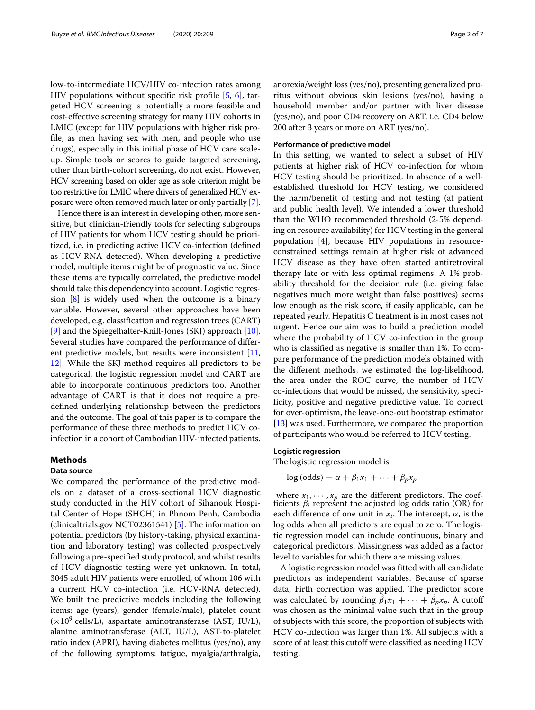low-to-intermediate HCV/HIV co-infection rates among HIV populations without specific risk profile [\[5,](#page-6-2) [6\]](#page-6-3), targeted HCV screening is potentially a more feasible and cost-effective screening strategy for many HIV cohorts in LMIC (except for HIV populations with higher risk profile, as men having sex with men, and people who use drugs), especially in this initial phase of HCV care scaleup. Simple tools or scores to guide targeted screening, other than birth-cohort screening, do not exist. However, HCV screening based on older age as sole criterion might be too restrictive for LMIC where drivers of generalized HCV exposure were often removed much later or only partially [\[7\]](#page-6-4).

Hence there is an interest in developing other, more sensitive, but clinician-friendly tools for selecting subgroups of HIV patients for whom HCV testing should be prioritized, i.e. in predicting active HCV co-infection (defined as HCV-RNA detected). When developing a predictive model, multiple items might be of prognostic value. Since these items are typically correlated, the predictive model should take this dependency into account. Logistic regression  $[8]$  is widely used when the outcome is a binary variable. However, several other approaches have been developed, e.g. classification and regression trees (CART) [\[9\]](#page-6-6) and the Spiegelhalter-Knill-Jones (SKJ) approach [\[10\]](#page-6-7). Several studies have compared the performance of different predictive models, but results were inconsistent [\[11,](#page-6-8) [12\]](#page-6-9). While the SKJ method requires all predictors to be categorical, the logistic regression model and CART are able to incorporate continuous predictors too. Another advantage of CART is that it does not require a predefined underlying relationship between the predictors and the outcome. The goal of this paper is to compare the performance of these three methods to predict HCV coinfection in a cohort of Cambodian HIV-infected patients.

## **Methods**

#### **Data source**

We compared the performance of the predictive models on a dataset of a cross-sectional HCV diagnostic study conducted in the HIV cohort of Sihanouk Hospital Center of Hope (SHCH) in Phnom Penh, Cambodia (clinicaltrials.gov NCT02361541) [\[5\]](#page-6-2). The information on potential predictors (by history-taking, physical examination and laboratory testing) was collected prospectively following a pre-specified study protocol, and whilst results of HCV diagnostic testing were yet unknown. In total, 3045 adult HIV patients were enrolled, of whom 106 with a current HCV co-infection (i.e. HCV-RNA detected). We built the predictive models including the following items: age (years), gender (female/male), platelet count  $(\times 10^9 \text{ cells/L})$ , aspartate aminotransferase (AST, IU/L), alanine aminotransferase (ALT, IU/L), AST-to-platelet ratio index (APRI), having diabetes mellitus (yes/no), any of the following symptoms: fatigue, myalgia/arthralgia,

anorexia/weight loss (yes/no), presenting generalized pruritus without obvious skin lesions (yes/no), having a household member and/or partner with liver disease (yes/no), and poor CD4 recovery on ART, i.e. CD4 below 200 after 3 years or more on ART (yes/no).

#### **Performance of predictive model**

In this setting, we wanted to select a subset of HIV patients at higher risk of HCV co-infection for whom HCV testing should be prioritized. In absence of a wellestablished threshold for HCV testing, we considered the harm/benefit of testing and not testing (at patient and public health level). We intended a lower threshold than the WHO recommended threshold (2-5% depending on resource availability) for HCV testing in the general population [\[4\]](#page-6-1), because HIV populations in resourceconstrained settings remain at higher risk of advanced HCV disease as they have often started antiretroviral therapy late or with less optimal regimens. A 1% probability threshold for the decision rule (i.e. giving false negatives much more weight than false positives) seems low enough as the risk score, if easily applicable, can be repeated yearly. Hepatitis C treatment is in most cases not urgent. Hence our aim was to build a prediction model where the probability of HCV co-infection in the group who is classified as negative is smaller than 1%. To compare performance of the prediction models obtained with the different methods, we estimated the log-likelihood, the area under the ROC curve, the number of HCV co-infections that would be missed, the sensitivity, specificity, positive and negative predictive value. To correct for over-optimism, the leave-one-out bootstrap estimator [\[13\]](#page-6-10) was used. Furthermore, we compared the proportion of participants who would be referred to HCV testing.

#### **Logistic regression**

The logistic regression model is

 $\log(\text{odds}) = \alpha + \beta_1 x_1 + \cdots + \beta_p x_p$ 

where  $x_1, \dots, x_p$  are the different predictors. The coef-<br>ficients  $\beta_i$  represent the adjusted log odds ratio (OR) for each difference of one unit in  $x_i$ . The intercept,  $\alpha$ , is the log odds when all predictors are equal to zero. The logistic regression model can include continuous, binary and categorical predictors. Missingness was added as a factor level to variables for which there are missing values.

A logistic regression model was fitted with all candidate predictors as independent variables. Because of sparse data, Firth correction was applied. The predictor score was calculated by rounding  $\beta_1 x_1 + \cdots + \beta_p x_p$ . A cutoff was chosen as the minimal value such that in the group of subjects with this score, the proportion of subjects with HCV co-infection was larger than 1%. All subjects with a score of at least this cutoff were classified as needing HCV testing.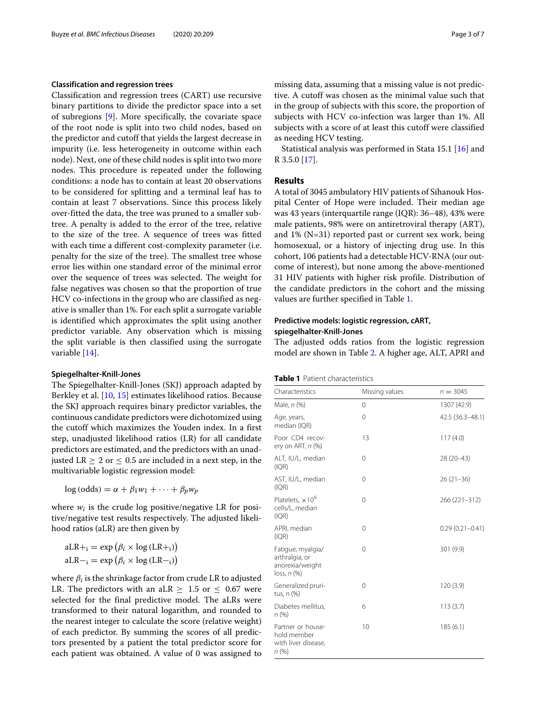#### **Classification and regression trees**

Classification and regression trees (CART) use recursive binary partitions to divide the predictor space into a set of subregions [\[9\]](#page-6-6). More specifically, the covariate space of the root node is split into two child nodes, based on the predictor and cutoff that yields the largest decrease in impurity (i.e. less heterogeneity in outcome within each node). Next, one of these child nodes is split into two more nodes. This procedure is repeated under the following conditions: a node has to contain at least 20 observations to be considered for splitting and a terminal leaf has to contain at least 7 observations. Since this process likely over-fitted the data, the tree was pruned to a smaller subtree. A penalty is added to the error of the tree, relative to the size of the tree. A sequence of trees was fitted with each time a different cost-complexity parameter (i.e. penalty for the size of the tree). The smallest tree whose error lies within one standard error of the minimal error over the sequence of trees was selected. The weight for false negatives was chosen so that the proportion of true HCV co-infections in the group who are classified as negative is smaller than 1%. For each split a surrogate variable is identified which approximates the split using another predictor variable. Any observation which is missing the split variable is then classified using the surrogate variable [\[14\]](#page-6-11).

#### **Spiegelhalter-Knill-Jones**

The Spiegelhalter-Knill-Jones (SKJ) approach adapted by Berkley et al. [\[10,](#page-6-7) [15\]](#page-6-12) estimates likelihood ratios. Because the SKJ approach requires binary predictor variables, the continuous candidate predictors were dichotomized using the cutoff which maximizes the Youden index. In a first step, unadjusted likelihood ratios (LR) for all candidate predictors are estimated, and the predictors with an unadjusted LR  $\geq 2$  or  $\leq 0.5$  are included in a next step, in the multivariable logistic regression model:

 $\log(\text{odds}) = \alpha + \beta_1 w_1 + \cdots + \beta_p w_p$ 

where  $w_i$  is the crude log positive/negative LR for positive/negative test results respectively. The adjusted likelihood ratios (aLR) are then given by

| $aLR+i = exp(\beta_i \times log(LR+i))$     |
|---------------------------------------------|
| $aLR - i = exp(\beta_i \times log(LR - i))$ |

where  $\beta_i$  is the shrinkage factor from crude LR to adjusted LR. The predictors with an aLR  $\geq$  1.5 or  $\leq$  0.67 were selected for the final predictive model. The aLRs were transformed to their natural logarithm, and rounded to the nearest integer to calculate the score (relative weight) of each predictor. By summing the scores of all predictors presented by a patient the total predictor score for each patient was obtained. A value of 0 was assigned to

missing data, assuming that a missing value is not predictive. A cutoff was chosen as the minimal value such that in the group of subjects with this score, the proportion of subjects with HCV co-infection was larger than 1%. All subjects with a score of at least this cutoff were classified as needing HCV testing.

Statistical analysis was performed in Stata 15.1 [\[16\]](#page-6-13) and R 3.5.0 [\[17\]](#page-6-14).

## **Results**

A total of 3045 ambulatory HIV patients of Sihanouk Hospital Center of Hope were included. Their median age was 43 years (interquartile range (IQR): 36–48), 43% were male patients, 98% were on antiretroviral therapy (ART), and 1% (N=31) reported past or current sex work, being homosexual, or a history of injecting drug use. In this cohort, 106 patients had a detectable HCV-RNA (our outcome of interest), but none among the above-mentioned 31 HIV patients with higher risk profile. Distribution of the candidate predictors in the cohort and the missing values are further specified in Table [1.](#page-2-0)

## **Predictive models: logistic regression, cART, spiegelhalter-Knill-Jones**

The adjusted odds ratios from the logistic regression model are shown in Table [2.](#page-3-0) A higher age, ALT, APRI and

<span id="page-2-0"></span>

| Table 1 Patient characteristics |
|---------------------------------|
|---------------------------------|

| Characteristics                                                         | Missing values | $n = 3045$          |
|-------------------------------------------------------------------------|----------------|---------------------|
| Male, n (%)                                                             | 0              | 1307 (42.9)         |
| Age, years,<br>median (IQR)                                             | $\Omega$       | 42.5 (36.3-48.1)    |
| Poor CD4 recov-<br>ery on ART, n (%)                                    | 13             | 117(4.0)            |
| ALT, IU/L, median<br>(IQR)                                              | 0              | 28 (20-43)          |
| AST, IU/L, median<br>(IQR)                                              | 0              | $26(21-36)$         |
| Platelets, $\times 10^9$<br>cells/L, median<br>(IQR)                    | $\Omega$       | 266 (221-312)       |
| APRI, median<br>(IQR)                                                   | $\Omega$       | $0.29(0.21 - 0.41)$ |
| Fatigue, myalgia/<br>arthralgia, or<br>anorexia/weight<br>$loss, n$ (%) | $\Omega$       | 301 (9.9)           |
| Generalized pruri-<br>tus, $n$ $(\%)$                                   | 0              | 120 (3.9)           |
| Diabetes mellitus,<br>n(%)                                              | 6              | 113(3.7)            |
| Partner or house-<br>hold member<br>with liver disease,<br>n(%)         | 10             | 185(6.1)            |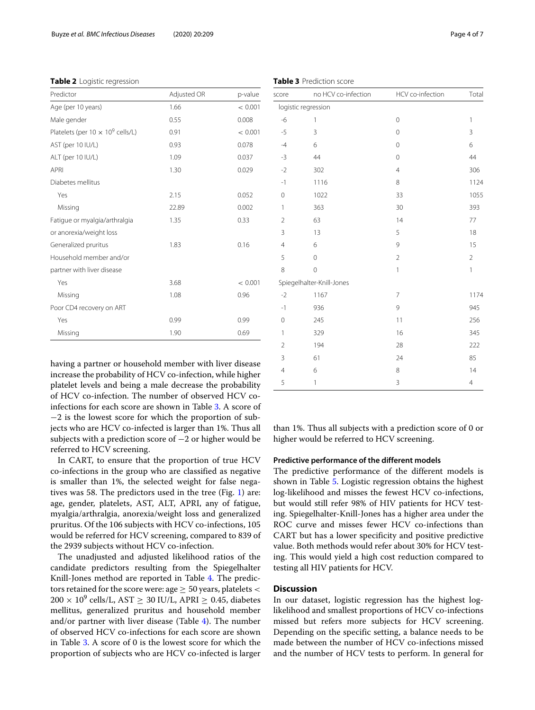<span id="page-3-0"></span>

|  | Table 2 Logistic regression |
|--|-----------------------------|
|  |                             |

| Predictor                                           | Adjusted OR | p-value |
|-----------------------------------------------------|-------------|---------|
| Age (per 10 years)                                  | 1.66        | < 0.001 |
| Male gender                                         | 0.55        | 0.008   |
| Platelets (per 10 $\times$ 10 <sup>9</sup> cells/L) | 0.91        | < 0.001 |
| AST (per 10 IU/L)                                   | 0.93        | 0.078   |
| ALT (per 10 IU/L)                                   | 1.09        | 0.037   |
| <b>APRI</b>                                         | 1.30        | 0.029   |
| Diabetes mellitus                                   |             |         |
| Yes                                                 | 2.15        | 0.052   |
| Missing                                             | 22.89       | 0.002   |
| Fatigue or myalgia/arthralgia                       | 1.35        | 0.33    |
| or anorexia/weight loss                             |             |         |
| Generalized pruritus                                | 1.83        | 0.16    |
| Household member and/or                             |             |         |
| partner with liver disease                          |             |         |
| Yes                                                 | 3.68        | < 0.001 |
| Missing                                             | 1.08        | 0.96    |
| Poor CD4 recovery on ART                            |             |         |
| Yes                                                 | 0.99        | 0.99    |
| Missing                                             | 1.90        | 0.69    |

having a partner or household member with liver disease increase the probability of HCV co-infection, while higher platelet levels and being a male decrease the probability of HCV co-infection. The number of observed HCV coinfections for each score are shown in Table [3.](#page-3-1) A score of −2 is the lowest score for which the proportion of subjects who are HCV co-infected is larger than 1%. Thus all subjects with a prediction score of  $-2$  or higher would be referred to HCV screening.

In CART, to ensure that the proportion of true HCV co-infections in the group who are classified as negative is smaller than 1%, the selected weight for false negatives was 58. The predictors used in the tree (Fig. [1\)](#page-4-0) are: age, gender, platelets, AST, ALT, APRI, any of fatigue, myalgia/arthralgia, anorexia/weight loss and generalized pruritus. Of the 106 subjects with HCV co-infections, 105 would be referred for HCV screening, compared to 839 of the 2939 subjects without HCV co-infection.

The unadjusted and adjusted likelihood ratios of the candidate predictors resulting from the Spiegelhalter Knill-Jones method are reported in Table [4.](#page-4-1) The predictors retained for the score were: age  $> 50$  years, platelets  $<$  $200 \times 10^9$  cells/L, AST  $\geq 30$  IU/L, APRI  $\geq 0.45$ , diabetes mellitus, generalized pruritus and household member and/or partner with liver disease (Table [4\)](#page-4-1). The number of observed HCV co-infections for each score are shown in Table [3.](#page-3-1) A score of 0 is the lowest score for which the proportion of subjects who are HCV co-infected is larger

<span id="page-3-1"></span>**Table 3** Prediction score

| score          | no HCV co-infection       | HCV co-infection          | Total          |
|----------------|---------------------------|---------------------------|----------------|
|                | logistic regression       |                           |                |
| $-6$           | $\mathbf{1}$              | $\mathbf 0$               | $\mathbf{1}$   |
| $-5$           | 3                         | $\mathbf 0$               | 3              |
| $-4$           | 6                         | $\overline{0}$            | 6              |
| $-3$           | 44                        | $\overline{O}$            | 44             |
| $-2$           | 302                       | $\overline{4}$            | 306            |
| $-1$           | 1116                      | 8                         | 1124           |
| $\mathbf 0$    | 1022                      | 33                        | 1055           |
| $\mathbf{1}$   | 363                       | 30                        | 393            |
| $\overline{2}$ | 63                        | 14                        | 77             |
| 3              | 13                        | 5                         | 18             |
| $\overline{4}$ | 6                         | 9                         | 15             |
| 5              | $\mathbf 0$               | $\overline{2}$            | $\overline{2}$ |
| 8              | $\mathbf 0$               | $\ensuremath{\mathsf{1}}$ | $\mathbf{1}$   |
|                | Spiegelhalter-Knill-Jones |                           |                |
| $-2$           | 1167                      | 7                         | 1174           |
| $-1$           | 936                       | 9                         | 945            |
| 0              | 245                       | 11                        | 256            |
| $\mathbf{1}$   | 329                       | 16                        | 345            |
| $\overline{2}$ | 194                       | 28                        | 222            |
| 3              | 61                        | 24                        | 85             |
| $\overline{4}$ | 6                         | 8                         | 14             |
| 5              | 1                         | 3                         | $\overline{4}$ |

than 1%. Thus all subjects with a prediction score of 0 or higher would be referred to HCV screening.

#### **Predictive performance of the different models**

The predictive performance of the different models is shown in Table [5.](#page-4-2) Logistic regression obtains the highest log-likelihood and misses the fewest HCV co-infections, but would still refer 98% of HIV patients for HCV testing. Spiegelhalter-Knill-Jones has a higher area under the ROC curve and misses fewer HCV co-infections than CART but has a lower specificity and positive predictive value. Both methods would refer about 30% for HCV testing. This would yield a high cost reduction compared to testing all HIV patients for HCV.

## **Discussion**

In our dataset, logistic regression has the highest loglikelihood and smallest proportions of HCV co-infections missed but refers more subjects for HCV screening. Depending on the specific setting, a balance needs to be made between the number of HCV co-infections missed and the number of HCV tests to perform. In general for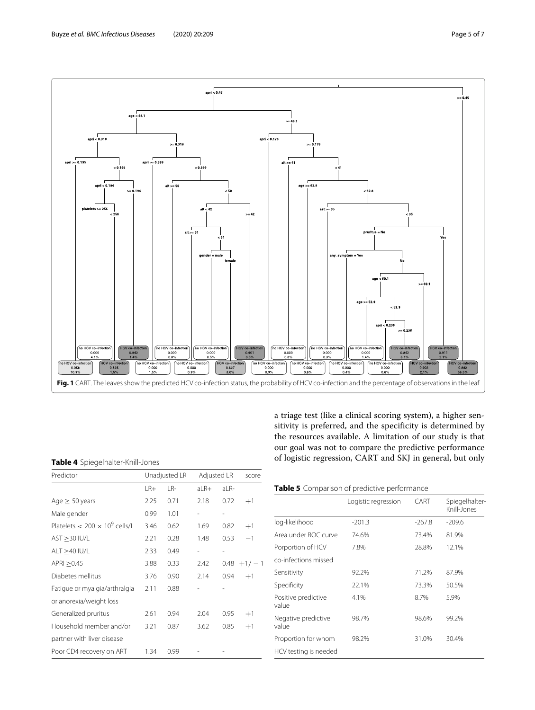

<span id="page-4-1"></span><span id="page-4-0"></span>

|  | Table 4 Spiegelhalter-Knill-Jones |
|--|-----------------------------------|
|--|-----------------------------------|

| Predictor                                          | Unadjusted LR |      | Adjusted LR |        | score          |
|----------------------------------------------------|---------------|------|-------------|--------|----------------|
|                                                    | $LR+$         | LR-  | $aLR+$      | $aLR-$ |                |
| Age $\geq$ 50 years                                | 2.25          | 0.71 | 2.18        | 0.72   | $+1$           |
| Male gender                                        | 0.99          | 1.01 |             |        |                |
| Platelets $<$ 200 $\times$ 10 <sup>9</sup> cells/L | 3.46          | 0.62 | 1.69        | 0.82   | $+1$           |
| $AST \geq 30$ IU/L                                 | 2.21          | 0.28 | 1.48        | 0.53   | $-1$           |
| $ALT \geq 40$ IU/L                                 | 2.33          | 0.49 |             |        |                |
| APRI $\geq$ 0.45                                   | 3.88          | 0.33 | 2.42        |        | $0.48 + 1/- 1$ |
| Diabetes mellitus                                  | 3.76          | 0.90 | 2.14        | 0.94   | $+1$           |
| Fatigue or myalgia/arthralgia                      | 2.11          | 0.88 |             |        |                |
| or anorexia/weight loss                            |               |      |             |        |                |
| Generalized pruritus                               | 2.61          | 0.94 | 2.04        | 0.95   | $+1$           |
| Household member and/or                            | 3.21          | 0.87 | 3.62        | 0.85   | $+1$           |
| partner with liver disease                         |               |      |             |        |                |
| Poor CD4 recovery on ART                           | 1.34          | 0.99 |             |        |                |

a triage test (like a clinical scoring system), a higher sensitivity is preferred, and the specificity is determined by the resources available. A limitation of our study is that our goal was not to compare the predictive performance of logistic regression, CART and SKJ in general, but only

|  |  | Table 5 Comparison of predictive performance |  |
|--|--|----------------------------------------------|--|
|--|--|----------------------------------------------|--|

<span id="page-4-2"></span>

|                              | Logistic regression | CART     | Spiegelhalter-<br>Knill-Jones |
|------------------------------|---------------------|----------|-------------------------------|
| log-likelihood               | $-201.3$            | $-267.8$ | $-209.6$                      |
| Area under ROC curve         | 74.6%               | 73.4%    | 81.9%                         |
| Porportion of HCV            | 7.8%                | 28.8%    | 12.1%                         |
| co-infections missed         |                     |          |                               |
| Sensitivity                  | 92.2%               | 71.2%    | 87.9%                         |
| Specificity                  | 22.1%               | 73.3%    | 50.5%                         |
| Positive predictive<br>value | 4.1%                | 8.7%     | 5.9%                          |
| Negative predictive<br>value | 98.7%               | 98.6%    | 99.2%                         |
| Proportion for whom          | 98.2%               | 31.0%    | 30.4%                         |
| HCV testing is needed        |                     |          |                               |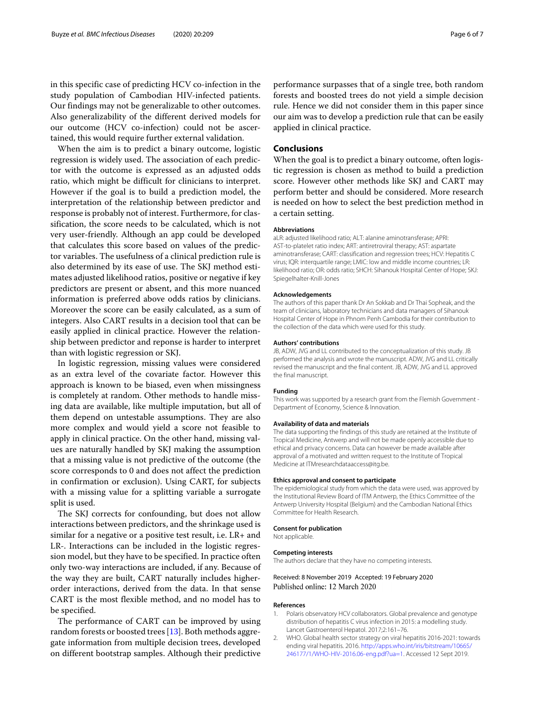in this specific case of predicting HCV co-infection in the study population of Cambodian HIV-infected patients. Our findings may not be generalizable to other outcomes. Also generalizability of the different derived models for our outcome (HCV co-infection) could not be ascertained, this would require further external validation.

When the aim is to predict a binary outcome, logistic regression is widely used. The association of each predictor with the outcome is expressed as an adjusted odds ratio, which might be difficult for clinicians to interpret. However if the goal is to build a prediction model, the interpretation of the relationship between predictor and response is probably not of interest. Furthermore, for classification, the score needs to be calculated, which is not very user-friendly. Although an app could be developed that calculates this score based on values of the predictor variables. The usefulness of a clinical prediction rule is also determined by its ease of use. The SKJ method estimates adjusted likelihood ratios, positive or negative if key predictors are present or absent, and this more nuanced information is preferred above odds ratios by clinicians. Moreover the score can be easily calculated, as a sum of integers. Also CART results in a decision tool that can be easily applied in clinical practice. However the relationship between predictor and reponse is harder to interpret than with logistic regression or SKJ.

In logistic regression, missing values were considered as an extra level of the covariate factor. However this approach is known to be biased, even when missingness is completely at random. Other methods to handle missing data are available, like multiple imputation, but all of them depend on untestable assumptions. They are also more complex and would yield a score not feasible to apply in clinical practice. On the other hand, missing values are naturally handled by SKJ making the assumption that a missing value is not predictive of the outcome (the score corresponds to 0 and does not affect the prediction in confirmation or exclusion). Using CART, for subjects with a missing value for a splitting variable a surrogate split is used.

The SKJ corrects for confounding, but does not allow interactions between predictors, and the shrinkage used is similar for a negative or a positive test result, i.e. LR+ and LR-. Interactions can be included in the logistic regression model, but they have to be specified. In practice often only two-way interactions are included, if any. Because of the way they are built, CART naturally includes higherorder interactions, derived from the data. In that sense CART is the most flexible method, and no model has to be specified.

The performance of CART can be improved by using random forests or boosted trees [\[13\]](#page-6-10). Both methods aggregate information from multiple decision trees, developed on different bootstrap samples. Although their predictive

#### **Conclusions**

applied in clinical practice.

When the goal is to predict a binary outcome, often logistic regression is chosen as method to build a prediction score. However other methods like SKJ and CART may perform better and should be considered. More research is needed on how to select the best prediction method in a certain setting.

#### **Abbreviations**

aLR: adjusted likelihood ratio; ALT: alanine aminotransferase; APRI: AST-to-platelet ratio index; ART: antiretroviral therapy; AST: aspartate aminotransferase; CART: classification and regression trees; HCV: Hepatitis C virus; IQR: interquartile range; LMIC: low and middle income countries; LR: likelihood ratio; OR: odds ratio; SHCH: Sihanouk Hospital Center of Hope; SKJ: Spiegelhalter-Knill-Jones

#### **Acknowledgements**

The authors of this paper thank Dr An Sokkab and Dr Thai Sopheak, and the team of clinicians, laboratory technicians and data managers of Sihanouk Hospital Center of Hope in Phnom Penh Cambodia for their contribution to the collection of the data which were used for this study.

#### **Authors' contributions**

JB, ADW, JVG and LL contributed to the conceptualization of this study. JB performed the analysis and wrote the manuscript. ADW, JVG and LL critically revised the manuscript and the final content. JB, ADW, JVG and LL approved the final manuscript.

#### **Funding**

This work was supported by a research grant from the Flemish Government - Department of Economy, Science & Innovation.

#### **Availability of data and materials**

The data supporting the findings of this study are retained at the Institute of Tropical Medicine, Antwerp and will not be made openly accessible due to ethical and privacy concerns. Data can however be made available after approval of a motivated and written request to the Institute of Tropical Medicine at ITMresearchdataaccess@itg.be.

#### **Ethics approval and consent to participate**

The epidemiological study from which the data were used, was approved by the Institutional Review Board of ITM Antwerp, the Ethics Committee of the Antwerp University Hospital (Belgium) and the Cambodian National Ethics Committee for Health Research.

#### **Consent for publication**

Not applicable.

#### **Competing interests**

The authors declare that they have no competing interests.

### Received: 8 November 2019 Accepted: 19 February 2020 Published online: 12 March 2020

#### **References**

- <span id="page-5-0"></span>1. Polaris observatory HCV collaborators. Global prevalence and genotype distribution of hepatitis C virus infection in 2015: a modelling study. Lancet Gastroenterol Hepatol. 2017;2:161–76.
- <span id="page-5-1"></span>2. WHO. Global health sector strategy on viral hepatitis 2016-2021: towards ending viral hepatitis. 2016. [http://apps.who.int/iris/bitstream/10665/](http://apps.who.int/iris/bitstream/10665/246177/1/WHO-HIV-2016.06-eng.pdf?ua=1) [246177/1/WHO-HIV-2016.06-eng.pdf?ua=1.](http://apps.who.int/iris/bitstream/10665/246177/1/WHO-HIV-2016.06-eng.pdf?ua=1) Accessed 12 Sept 2019.